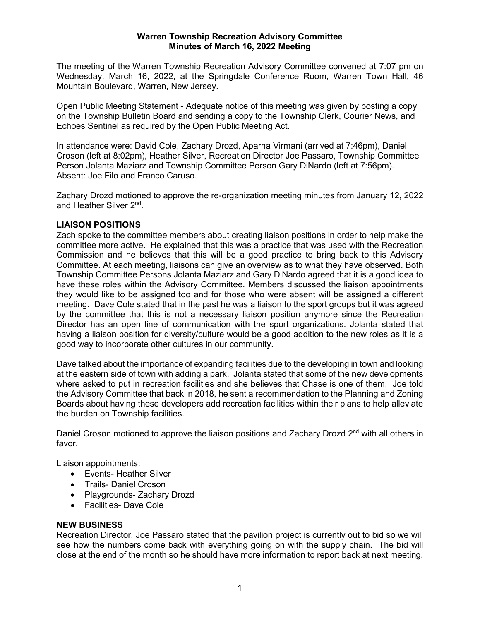### **Warren Township Recreation Advisory Committee Minutes of March 16, 2022 Meeting**

The meeting of the Warren Township Recreation Advisory Committee convened at 7:07 pm on Wednesday, March 16, 2022, at the Springdale Conference Room, Warren Town Hall, 46 Mountain Boulevard, Warren, New Jersey.

Open Public Meeting Statement - Adequate notice of this meeting was given by posting a copy on the Township Bulletin Board and sending a copy to the Township Clerk, Courier News, and Echoes Sentinel as required by the Open Public Meeting Act.

In attendance were: David Cole, Zachary Drozd, Aparna Virmani (arrived at 7:46pm), Daniel Croson (left at 8:02pm), Heather Silver, Recreation Director Joe Passaro, Township Committee Person Jolanta Maziarz and Township Committee Person Gary DiNardo (left at 7:56pm). Absent: Joe Filo and Franco Caruso.

Zachary Drozd motioned to approve the re-organization meeting minutes from January 12, 2022 and Heather Silver 2nd.

# **LIAISON POSITIONS**

Zach spoke to the committee members about creating liaison positions in order to help make the committee more active. He explained that this was a practice that was used with the Recreation Commission and he believes that this will be a good practice to bring back to this Advisory Committee. At each meeting, liaisons can give an overview as to what they have observed. Both Township Committee Persons Jolanta Maziarz and Gary DiNardo agreed that it is a good idea to have these roles within the Advisory Committee. Members discussed the liaison appointments they would like to be assigned too and for those who were absent will be assigned a different meeting. Dave Cole stated that in the past he was a liaison to the sport groups but it was agreed by the committee that this is not a necessary liaison position anymore since the Recreation Director has an open line of communication with the sport organizations. Jolanta stated that having a liaison position for diversity/culture would be a good addition to the new roles as it is a good way to incorporate other cultures in our community.

Dave talked about the importance of expanding facilities due to the developing in town and looking at the eastern side of town with adding a park. Jolanta stated that some of the new developments where asked to put in recreation facilities and she believes that Chase is one of them. Joe told the Advisory Committee that back in 2018, he sent a recommendation to the Planning and Zoning Boards about having these developers add recreation facilities within their plans to help alleviate the burden on Township facilities.

Daniel Croson motioned to approve the liaison positions and Zachary Drozd 2<sup>nd</sup> with all others in favor.

Liaison appointments:

- Events- Heather Silver
- Trails- Daniel Croson
- Playgrounds- Zachary Drozd
- Facilities- Dave Cole

#### **NEW BUSINESS**

Recreation Director, Joe Passaro stated that the pavilion project is currently out to bid so we will see how the numbers come back with everything going on with the supply chain. The bid will close at the end of the month so he should have more information to report back at next meeting.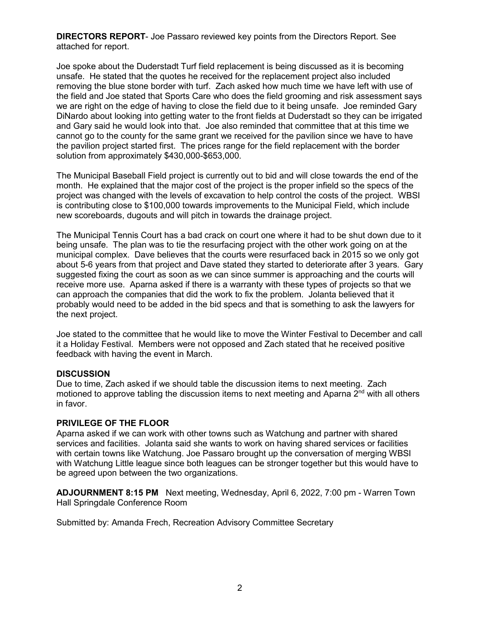**DIRECTORS REPORT**- Joe Passaro reviewed key points from the Directors Report. See attached for report.

Joe spoke about the Duderstadt Turf field replacement is being discussed as it is becoming unsafe. He stated that the quotes he received for the replacement project also included removing the blue stone border with turf. Zach asked how much time we have left with use of the field and Joe stated that Sports Care who does the field grooming and risk assessment says we are right on the edge of having to close the field due to it being unsafe. Joe reminded Gary DiNardo about looking into getting water to the front fields at Duderstadt so they can be irrigated and Gary said he would look into that. Joe also reminded that committee that at this time we cannot go to the county for the same grant we received for the pavilion since we have to have the pavilion project started first. The prices range for the field replacement with the border solution from approximately \$430,000-\$653,000.

The Municipal Baseball Field project is currently out to bid and will close towards the end of the month. He explained that the major cost of the project is the proper infield so the specs of the project was changed with the levels of excavation to help control the costs of the project. WBSI is contributing close to \$100,000 towards improvements to the Municipal Field, which include new scoreboards, dugouts and will pitch in towards the drainage project.

The Municipal Tennis Court has a bad crack on court one where it had to be shut down due to it being unsafe. The plan was to tie the resurfacing project with the other work going on at the municipal complex. Dave believes that the courts were resurfaced back in 2015 so we only got about 5-6 years from that project and Dave stated they started to deteriorate after 3 years. Gary suggested fixing the court as soon as we can since summer is approaching and the courts will receive more use. Aparna asked if there is a warranty with these types of projects so that we can approach the companies that did the work to fix the problem. Jolanta believed that it probably would need to be added in the bid specs and that is something to ask the lawyers for the next project.

Joe stated to the committee that he would like to move the Winter Festival to December and call it a Holiday Festival. Members were not opposed and Zach stated that he received positive feedback with having the event in March.

#### **DISCUSSION**

Due to time, Zach asked if we should table the discussion items to next meeting. Zach motioned to approve tabling the discussion items to next meeting and Aparna  $2<sup>nd</sup>$  with all others in favor.

#### **PRIVILEGE OF THE FLOOR**

Aparna asked if we can work with other towns such as Watchung and partner with shared services and facilities. Jolanta said she wants to work on having shared services or facilities with certain towns like Watchung. Joe Passaro brought up the conversation of merging WBSI with Watchung Little league since both leagues can be stronger together but this would have to be agreed upon between the two organizations.

**ADJOURNMENT 8:15 PM** Next meeting, Wednesday, April 6, 2022, 7:00 pm - Warren Town Hall Springdale Conference Room

Submitted by: Amanda Frech, Recreation Advisory Committee Secretary